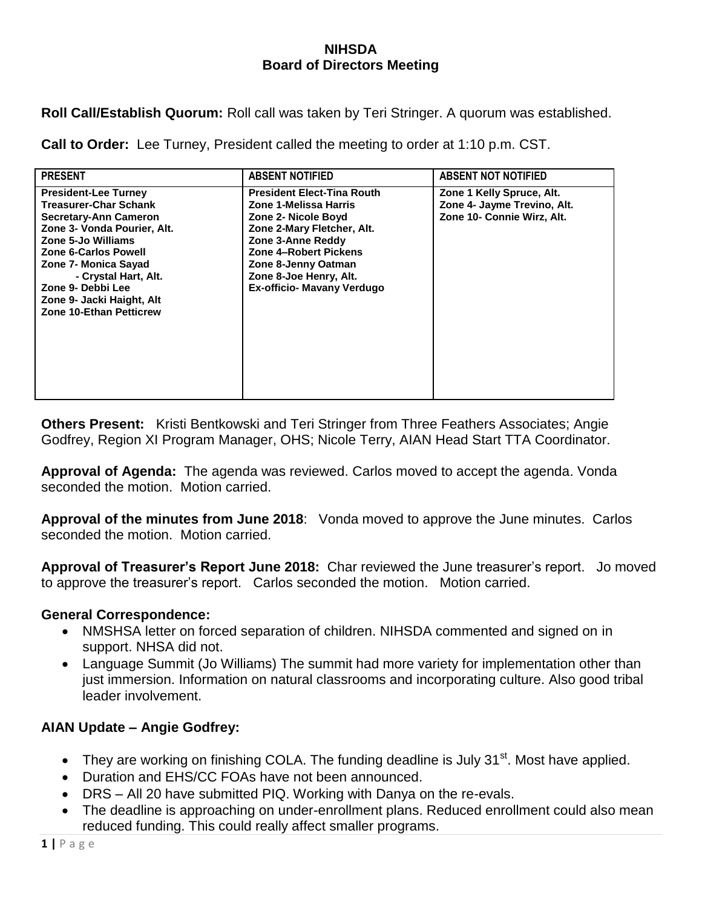## **NIHSDA Board of Directors Meeting**

**Roll Call/Establish Quorum:** Roll call was taken by Teri Stringer. A quorum was established.

**Call to Order:** Lee Turney, President called the meeting to order at 1:10 p.m. CST.

| <b>PRESENT</b>                                                                                                                                                                                                                                                                                               | <b>ABSENT NOTIFIED</b>                                                                                                                                                                                                                              | <b>ABSENT NOT NOTIFIED</b>                                                             |
|--------------------------------------------------------------------------------------------------------------------------------------------------------------------------------------------------------------------------------------------------------------------------------------------------------------|-----------------------------------------------------------------------------------------------------------------------------------------------------------------------------------------------------------------------------------------------------|----------------------------------------------------------------------------------------|
| <b>President-Lee Turney</b><br><b>Treasurer-Char Schank</b><br>Secretary-Ann Cameron<br>Zone 3- Vonda Pourier, Alt.<br>Zone 5-Jo Williams<br><b>Zone 6-Carlos Powell</b><br>Zone 7- Monica Sayad<br>- Crystal Hart, Alt.<br>Zone 9- Debbi Lee<br>Zone 9- Jacki Haight, Alt<br><b>Zone 10-Ethan Petticrew</b> | <b>President Elect-Tina Routh</b><br>Zone 1-Melissa Harris<br>Zone 2- Nicole Boyd<br>Zone 2-Mary Fletcher, Alt.<br>Zone 3-Anne Reddy<br>Zone 4-Robert Pickens<br>Zone 8-Jenny Oatman<br>Zone 8-Joe Henry, Alt.<br><b>Ex-officio- Mavany Verdugo</b> | Zone 1 Kelly Spruce, Alt.<br>Zone 4- Jayme Trevino, Alt.<br>Zone 10- Connie Wirz, Alt. |

**Others Present:** Kristi Bentkowski and Teri Stringer from Three Feathers Associates; Angie Godfrey, Region XI Program Manager, OHS; Nicole Terry, AIAN Head Start TTA Coordinator.

**Approval of Agenda:** The agenda was reviewed. Carlos moved to accept the agenda. Vonda seconded the motion. Motion carried.

**Approval of the minutes from June 2018**: Vonda moved to approve the June minutes. Carlos seconded the motion. Motion carried.

**Approval of Treasurer's Report June 2018:** Char reviewed the June treasurer's report. Jo moved to approve the treasurer's report. Carlos seconded the motion. Motion carried.

## **General Correspondence:**

- NMSHSA letter on forced separation of children. NIHSDA commented and signed on in support. NHSA did not.
- Language Summit (Jo Williams) The summit had more variety for implementation other than just immersion. Information on natural classrooms and incorporating culture. Also good tribal leader involvement.

## **AIAN Update – Angie Godfrey:**

- They are working on finishing COLA. The funding deadline is July 31 $^{\text{st}}$ . Most have applied.
- Duration and EHS/CC FOAs have not been announced.
- DRS All 20 have submitted PIQ. Working with Danya on the re-evals.
- The deadline is approaching on under-enrollment plans. Reduced enrollment could also mean reduced funding. This could really affect smaller programs.